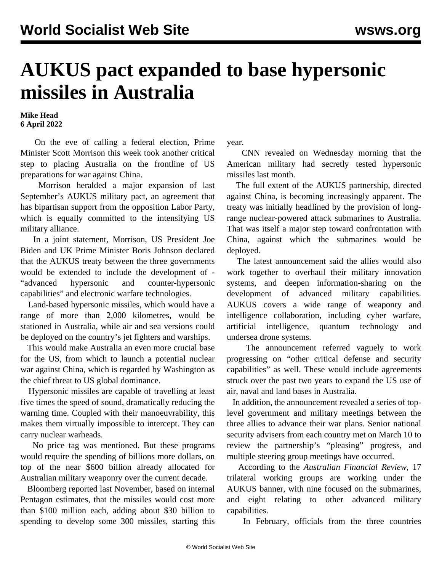## **AUKUS pact expanded to base hypersonic missiles in Australia**

## **Mike Head 6 April 2022**

 On the eve of calling a federal election, Prime Minister Scott Morrison this week took another critical step to placing Australia on the frontline of US preparations for war against China.

 Morrison heralded a major expansion of last September's AUKUS military pact, an agreement that has bipartisan support from the opposition Labor Party, which is equally committed to the intensifying US military alliance.

 In a joint statement, Morrison, US President Joe Biden and UK Prime Minister Boris Johnson declared that the AUKUS treaty between the three governments would be extended to include the development of - "advanced hypersonic and counter-hypersonic capabilities" and electronic warfare technologies.

 Land-based hypersonic missiles, which would have a range of more than 2,000 kilometres, would be stationed in Australia, while air and sea versions could be deployed on the country's jet fighters and warships.

 This would make Australia an even more crucial base for the US, from which to launch a potential nuclear war against China, which is regarded by Washington as the chief threat to US global dominance.

 Hypersonic missiles are capable of travelling at least five times the speed of sound, dramatically reducing the warning time. Coupled with their manoeuvrability, this makes them virtually impossible to intercept. They can carry nuclear warheads.

 No price tag was mentioned. But these programs would require the spending of billions more dollars, on top of the near \$600 billion already allocated for Australian military weaponry over the current decade.

 Bloomberg reported last November, based on internal Pentagon estimates, that the missiles would cost more than \$100 million each, adding about \$30 billion to spending to develop some 300 missiles, starting this

year.

 CNN revealed on Wednesday morning that the American military had secretly tested hypersonic missiles last month.

 The full extent of the AUKUS partnership, directed against China, is becoming increasingly apparent. The treaty was initially headlined by the provision of longrange nuclear-powered attack submarines to Australia. That was itself a major step toward confrontation with China, against which the submarines would be deployed.

 The latest announcement said the allies would also work together to overhaul their military innovation systems, and deepen information-sharing on the development of advanced military capabilities. AUKUS covers a wide range of weaponry and intelligence collaboration, including cyber warfare, artificial intelligence, quantum technology and undersea drone systems.

 The announcement referred vaguely to work progressing on "other critical defense and security capabilities" as well. These would include agreements struck over the past two years to expand the US use of air, naval and land bases in Australia.

 In addition, the announcement revealed a series of toplevel government and military meetings between the three allies to advance their war plans. Senior national security advisers from each country met on March 10 to review the partnership's "pleasing" progress, and multiple steering group meetings have occurred.

 According to the *Australian Financial Review*, 17 trilateral working groups are working under the AUKUS banner, with nine focused on the submarines, and eight relating to other advanced military capabilities.

In February, officials from the three countries